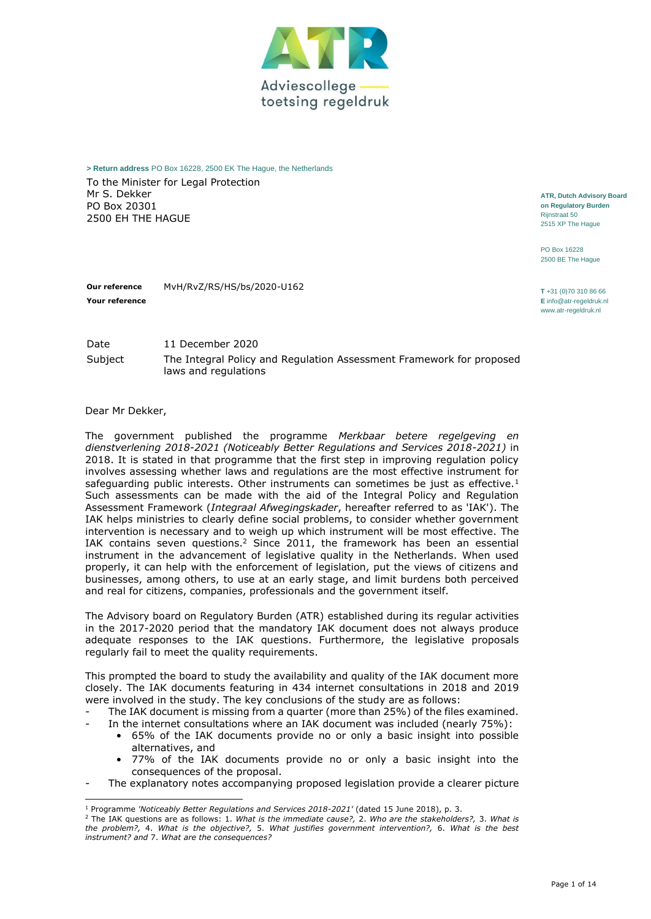

**> Return address** PO Box 16228, 2500 EK The Hague, the Netherlands

laws and regulations

To the Minister for Legal Protection Mr S. Dekker PO Box 20301 2500 EH THE HAGUE

**ATR, Dutch Advisory Board on Regulatory Burden** Rijnstraat 50 2515 XP The Hague

PO Box 16228 2500 BE The Hague

**Our reference** MvH/RvZ/RS/HS/bs/2020-U162 **<sup>T</sup>** +31 (0)70 310 86 66 **E** [info@atr-regeldruk.nl](file:///C:/Users/idebruine/AppData/Local/Microsoft/Windows/INetCache/Content.Outlook/FYKI39WO/info@atr-regeldruk.nl) [www.atr-regeldruk.nl](http://www.atr-regeldruk.nl/)

Date 11 December 2020 Subject The Integral Policy and Regulation Assessment Framework for proposed

Dear Mr Dekker,

**Your reference**

The government published the programme *Merkbaar betere regelgeving en dienstverlening 2018-2021 (Noticeably Better Regulations and Services 2018-2021)* in 2018. It is stated in that programme that the first step in improving regulation policy involves assessing whether laws and regulations are the most effective instrument for safeguarding public interests. Other instruments can sometimes be just as effective.<sup>1</sup> Such assessments can be made with the aid of the Integral Policy and Regulation Assessment Framework (*Integraal Afwegingskader*, hereafter referred to as 'IAK'). The IAK helps ministries to clearly define social problems, to consider whether government intervention is necessary and to weigh up which instrument will be most effective. The IAK contains seven questions.<sup>2</sup> Since 2011, the framework has been an essential instrument in the advancement of legislative quality in the Netherlands. When used properly, it can help with the enforcement of legislation, put the views of citizens and businesses, among others, to use at an early stage, and limit burdens both perceived and real for citizens, companies, professionals and the government itself.

The Advisory board on Regulatory Burden (ATR) established during its regular activities in the 2017-2020 period that the mandatory IAK document does not always produce adequate responses to the IAK questions. Furthermore, the legislative proposals regularly fail to meet the quality requirements.

This prompted the board to study the availability and quality of the IAK document more closely. The IAK documents featuring in 434 internet consultations in 2018 and 2019 were involved in the study. The key conclusions of the study are as follows:

- The IAK document is missing from a quarter (more than 25%) of the files examined.
	- In the internet consultations where an IAK document was included (nearly 75%): • 65% of the IAK documents provide no or only a basic insight into possible alternatives, and
	- 77% of the IAK documents provide no or only a basic insight into the consequences of the proposal.
- The explanatory notes accompanying proposed legislation provide a clearer picture

<sup>1</sup> Programme *'Noticeably Better Regulations and Services 2018-2021'* (dated 15 June 2018), p. 3.

<sup>2</sup> The IAK questions are as follows: 1. *What is the immediate cause?,* 2. *Who are the stakeholders?,* 3. *What is the problem?,* 4. *What is the objective?,* 5. *What justifies government intervention?,* 6. *What is the best instrument? and* 7. *What are the consequences?*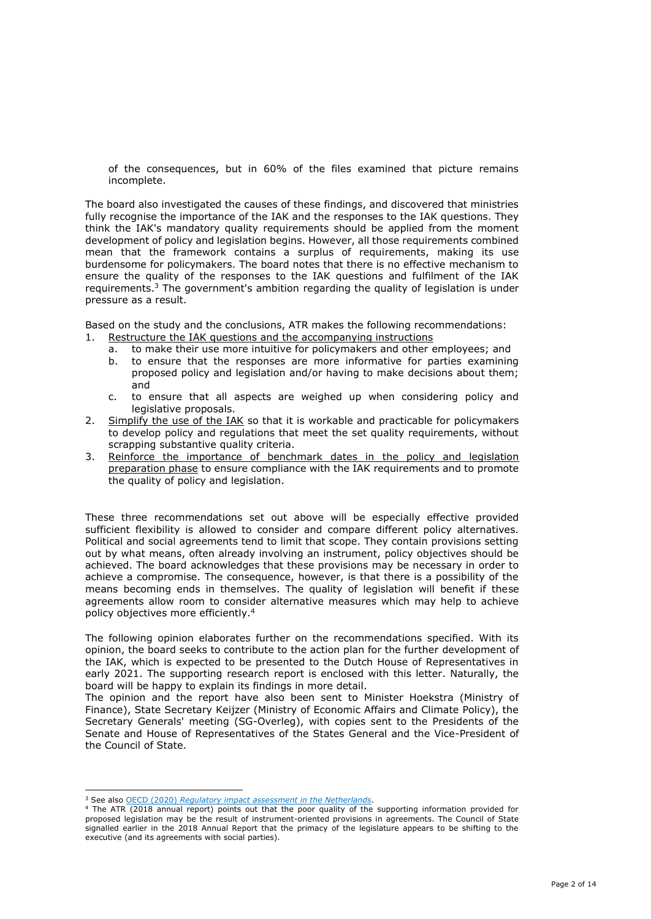of the consequences, but in 60% of the files examined that picture remains incomplete.

The board also investigated the causes of these findings, and discovered that ministries fully recognise the importance of the IAK and the responses to the IAK questions. They think the IAK's mandatory quality requirements should be applied from the moment development of policy and legislation begins. However, all those requirements combined mean that the framework contains a surplus of requirements, making its use burdensome for policymakers. The board notes that there is no effective mechanism to ensure the quality of the responses to the IAK questions and fulfilment of the IAK requirements.<sup>3</sup> The government's ambition regarding the quality of legislation is under pressure as a result.

Based on the study and the conclusions, ATR makes the following recommendations:

- 1. Restructure the IAK questions and the accompanying instructions
	- a. to make their use more intuitive for policymakers and other employees; and
	- b. to ensure that the responses are more informative for parties examining proposed policy and legislation and/or having to make decisions about them; and
	- c. to ensure that all aspects are weighed up when considering policy and legislative proposals.
- 2. Simplify the use of the IAK so that it is workable and practicable for policymakers to develop policy and regulations that meet the set quality requirements, without scrapping substantive quality criteria.
- 3. Reinforce the importance of benchmark dates in the policy and legislation preparation phase to ensure compliance with the IAK requirements and to promote the quality of policy and legislation.

These three recommendations set out above will be especially effective provided sufficient flexibility is allowed to consider and compare different policy alternatives. Political and social agreements tend to limit that scope. They contain provisions setting out by what means, often already involving an instrument, policy objectives should be achieved. The board acknowledges that these provisions may be necessary in order to achieve a compromise. The consequence, however, is that there is a possibility of the means becoming ends in themselves. The quality of legislation will benefit if these agreements allow room to consider alternative measures which may help to achieve policy objectives more efficiently.<sup>4</sup>

The following opinion elaborates further on the recommendations specified. With its opinion, the board seeks to contribute to the action plan for the further development of the IAK, which is expected to be presented to the Dutch House of Representatives in early 2021. The supporting research report is enclosed with this letter. Naturally, the board will be happy to explain its findings in more detail.

The opinion and the report have also been sent to Minister Hoekstra (Ministry of Finance), State Secretary Keijzer (Ministry of Economic Affairs and Climate Policy), the Secretary Generals' meeting (SG-Overleg), with copies sent to the Presidents of the Senate and House of Representatives of the States General and the Vice-President of the Council of State.

<sup>3</sup> See also OECD (2020) *Regulatory impact assessment in the Netherlands*.

<sup>4</sup> The ATR (2018 annual report) points out that the poor quality of the supporting information provided for proposed legislation may be the result of instrument-oriented provisions in agreements. The Council of State signalled earlier in the 2018 Annual Report that the primacy of the legislature appears to be shifting to the executive (and its agreements with social parties).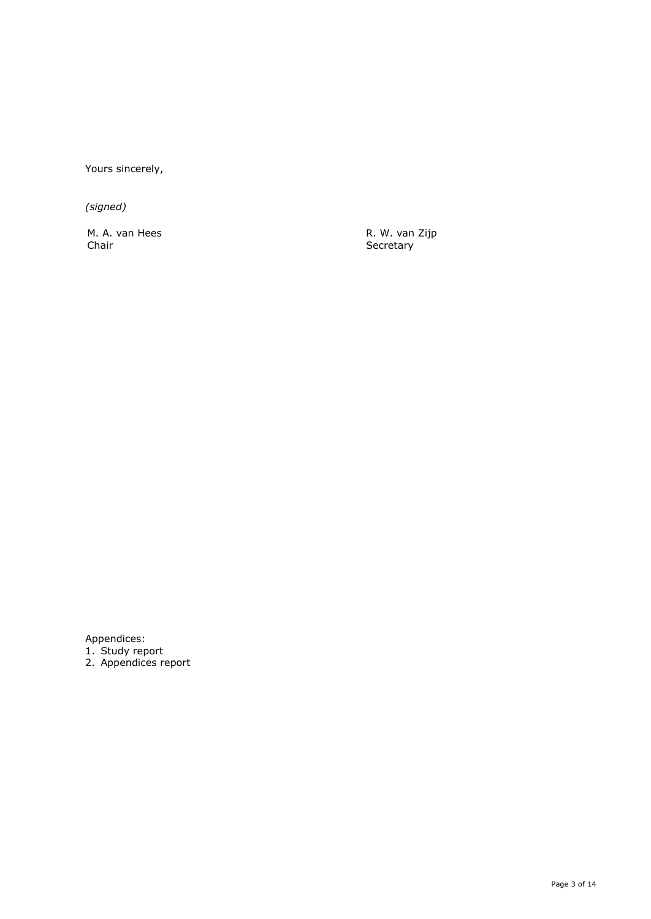Yours sincerely,

*(signed)*

M. A. van Hees Chair

R. W. van Zijp **Secretary** 

Appendices:

1. Study report

2. Appendices report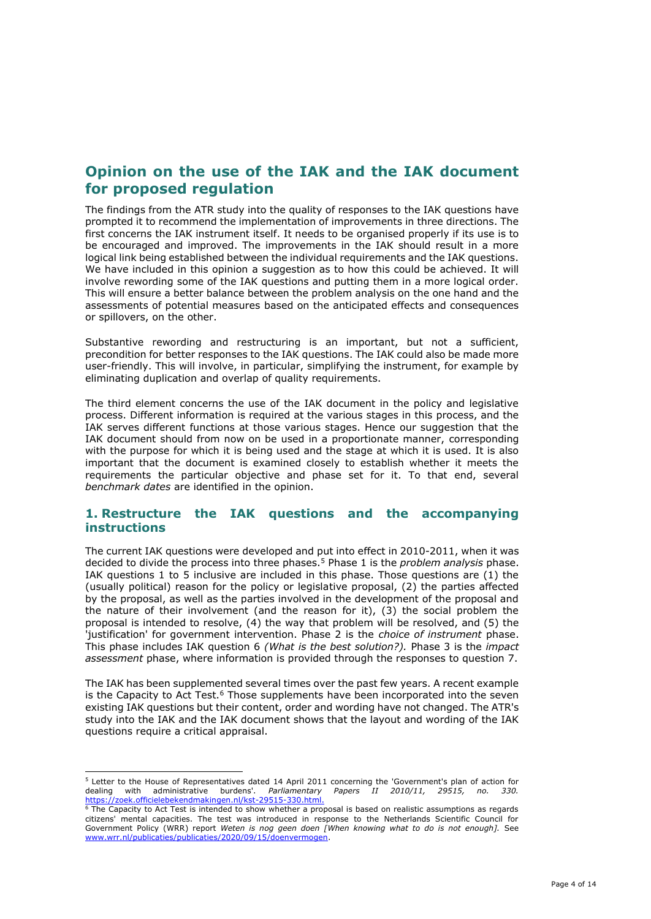# **Opinion on the use of the IAK and the IAK document for proposed regulation**

The findings from the ATR study into the quality of responses to the IAK questions have prompted it to recommend the implementation of improvements in three directions. The first concerns the IAK instrument itself. It needs to be organised properly if its use is to be encouraged and improved. The improvements in the IAK should result in a more logical link being established between the individual requirements and the IAK questions. We have included in this opinion a suggestion as to how this could be achieved. It will involve rewording some of the IAK questions and putting them in a more logical order. This will ensure a better balance between the problem analysis on the one hand and the assessments of potential measures based on the anticipated effects and consequences or spillovers, on the other.

Substantive rewording and restructuring is an important, but not a sufficient, precondition for better responses to the IAK questions. The IAK could also be made more user-friendly. This will involve, in particular, simplifying the instrument, for example by eliminating duplication and overlap of quality requirements.

The third element concerns the use of the IAK document in the policy and legislative process. Different information is required at the various stages in this process, and the IAK serves different functions at those various stages. Hence our suggestion that the IAK document should from now on be used in a proportionate manner, corresponding with the purpose for which it is being used and the stage at which it is used. It is also important that the document is examined closely to establish whether it meets the requirements the particular objective and phase set for it. To that end, several *benchmark dates* are identified in the opinion.

## **1. Restructure the IAK questions and the accompanying instructions**

The current IAK questions were developed and put into effect in 2010-2011, when it was decided to divide the process into three phases.<sup>5</sup> Phase 1 is the *problem analysis* phase. IAK questions 1 to 5 inclusive are included in this phase. Those questions are (1) the (usually political) reason for the policy or legislative proposal, (2) the parties affected by the proposal, as well as the parties involved in the development of the proposal and the nature of their involvement (and the reason for it), (3) the social problem the proposal is intended to resolve, (4) the way that problem will be resolved, and (5) the 'justification' for government intervention. Phase 2 is the *choice of instrument* phase. This phase includes IAK question 6 *(What is the best solution?).* Phase 3 is the *impact assessment* phase, where information is provided through the responses to question 7.

The IAK has been supplemented several times over the past few years. A recent example is the Capacity to Act Test. $6$  Those supplements have been incorporated into the seven existing IAK questions but their content, order and wording have not changed. The ATR's study into the IAK and the IAK document shows that the layout and wording of the IAK questions require a critical appraisal.

<sup>&</sup>lt;sup>5</sup> Letter to the House of Representatives dated 14 April 2011 concerning the 'Government's plan of action for dealing with administrative burdens'. *Parliamentary Papers II 2010/11, 29515, no. 330.* dealing with administrative burdens'. *Parliamentary Papers II 2010/11, 29515, no. 330.* [https://zoek.officielebekendmakingen.nl/kst-29515-330.html.](https://zoek.officielebekendmakingen.nl/kst-29515-330.html)

<sup>&</sup>lt;sup>6</sup> The Capacity to Act Test is intended to show whether a proposal is based on realistic assumptions as regards citizens' mental capacities. The test was introduced in response to the Netherlands Scientific Council for Government Policy (WRR) report *Weten is nog geen doen [When knowing what to do is not enough].* See [www.wrr.nl/publicaties/publicaties/2020/09/15/doenvermogen.](http://www.wrr.nl/publicaties/publicaties/2020/09/15/doenvermogen)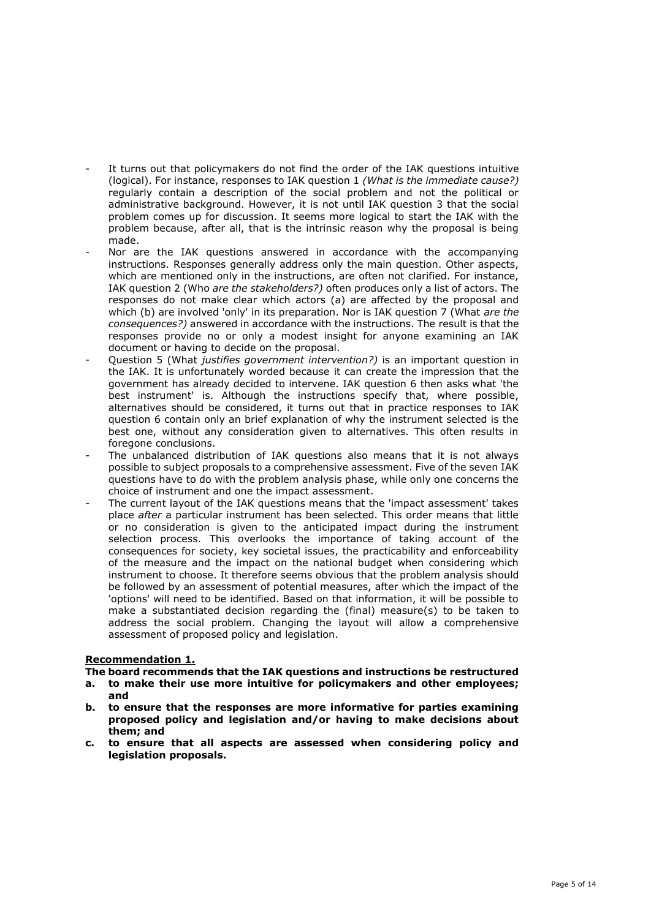- It turns out that policymakers do not find the order of the IAK questions intuitive (logical). For instance, responses to IAK question 1 *(What is the immediate cause?)* regularly contain a description of the social problem and not the political or administrative background. However, it is not until IAK question 3 that the social problem comes up for discussion. It seems more logical to start the IAK with the problem because, after all, that is the intrinsic reason why the proposal is being made.
- Nor are the IAK questions answered in accordance with the accompanying instructions. Responses generally address only the main question. Other aspects, which are mentioned only in the instructions, are often not clarified. For instance, IAK question 2 (Who *are the stakeholders?)* often produces only a list of actors. The responses do not make clear which actors (a) are affected by the proposal and which (b) are involved 'only' in its preparation. Nor is IAK question 7 (What *are the consequences?)* answered in accordance with the instructions. The result is that the responses provide no or only a modest insight for anyone examining an IAK document or having to decide on the proposal.
- Question 5 (What *justifies government intervention?)* is an important question in the IAK. It is unfortunately worded because it can create the impression that the government has already decided to intervene. IAK question 6 then asks what 'the best instrument' is. Although the instructions specify that, where possible, alternatives should be considered, it turns out that in practice responses to IAK question 6 contain only an brief explanation of why the instrument selected is the best one, without any consideration given to alternatives. This often results in foregone conclusions.
- The unbalanced distribution of IAK questions also means that it is not always possible to subject proposals to a comprehensive assessment. Five of the seven IAK questions have to do with the problem analysis phase, while only one concerns the choice of instrument and one the impact assessment.
- The current layout of the IAK questions means that the 'impact assessment' takes place *after* a particular instrument has been selected. This order means that little or no consideration is given to the anticipated impact during the instrument selection process. This overlooks the importance of taking account of the consequences for society, key societal issues, the practicability and enforceability of the measure and the impact on the national budget when considering which instrument to choose. It therefore seems obvious that the problem analysis should be followed by an assessment of potential measures, after which the impact of the 'options' will need to be identified. Based on that information, it will be possible to make a substantiated decision regarding the (final) measure(s) to be taken to address the social problem. Changing the layout will allow a comprehensive assessment of proposed policy and legislation.

## **Recommendation 1.**

**The board recommends that the IAK questions and instructions be restructured**

- **a. to make their use more intuitive for policymakers and other employees; and**
- **b. to ensure that the responses are more informative for parties examining proposed policy and legislation and/or having to make decisions about them; and**
- **c. to ensure that all aspects are assessed when considering policy and legislation proposals.**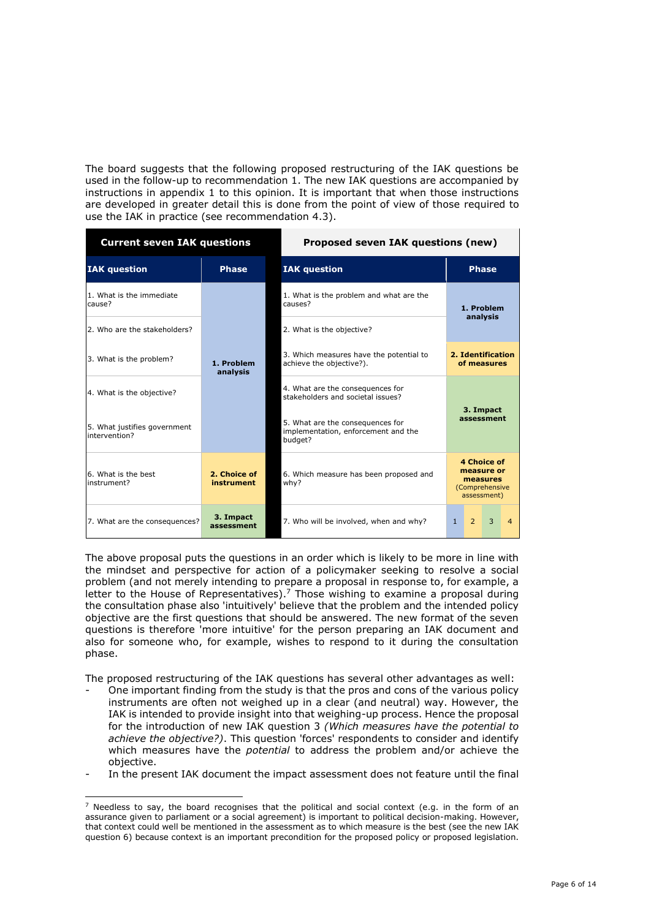The board suggests that the following proposed restructuring of the IAK questions be used in the follow-up to recommendation 1. The new IAK questions are accompanied by instructions in appendix 1 to this opinion. It is important that when those instructions are developed in greater detail this is done from the point of view of those required to use the IAK in practice (see recommendation 4.3).

| <b>Current seven IAK questions</b>            |                            | Proposed seven IAK questions (new)                                                 |                                                                        |                |   |                |  |
|-----------------------------------------------|----------------------------|------------------------------------------------------------------------------------|------------------------------------------------------------------------|----------------|---|----------------|--|
| <b>IAK</b> question                           | <b>Phase</b>               | <b>IAK</b> question                                                                |                                                                        | <b>Phase</b>   |   |                |  |
| 1. What is the immediate<br>cause?            | 1. Problem<br>analysis     | 1. What is the problem and what are the<br>causes?                                 | 1. Problem<br>analysis                                                 |                |   |                |  |
| 2. Who are the stakeholders?                  |                            | 2. What is the objective?                                                          |                                                                        |                |   |                |  |
| 3. What is the problem?                       |                            | 3. Which measures have the potential to<br>achieve the objective?).                | 2. Identification<br>of measures                                       |                |   |                |  |
| 4. What is the objective?                     |                            | 4. What are the consequences for<br>stakeholders and societal issues?              |                                                                        |                |   |                |  |
| 5. What justifies government<br>intervention? |                            | 5. What are the consequences for<br>implementation, enforcement and the<br>budget? | 3. Impact<br>assessment                                                |                |   |                |  |
| 6. What is the best<br>instrument?            | 2. Choice of<br>instrument | 6. Which measure has been proposed and<br>why?                                     | 4 Choice of<br>measure or<br>measures<br>(Comprehensive<br>assessment) |                |   |                |  |
| 7. What are the consequences?                 | 3. Impact<br>assessment    | 7. Who will be involved, when and why?                                             | $\mathbf{1}$                                                           | $\overline{2}$ | 3 | $\overline{4}$ |  |

The above proposal puts the questions in an order which is likely to be more in line with the mindset and perspective for action of a policymaker seeking to resolve a social problem (and not merely intending to prepare a proposal in response to, for example, a letter to the House of Representatives).<sup>7</sup> Those wishing to examine a proposal during the consultation phase also 'intuitively' believe that the problem and the intended policy objective are the first questions that should be answered. The new format of the seven questions is therefore 'more intuitive' for the person preparing an IAK document and also for someone who, for example, wishes to respond to it during the consultation phase.

The proposed restructuring of the IAK questions has several other advantages as well:

- One important finding from the study is that the pros and cons of the various policy instruments are often not weighed up in a clear (and neutral) way. However, the IAK is intended to provide insight into that weighing-up process. Hence the proposal for the introduction of new IAK question 3 *(Which measures have the potential to achieve the objective?)*. This question 'forces' respondents to consider and identify which measures have the *potential* to address the problem and/or achieve the objective.
- In the present IAK document the impact assessment does not feature until the final

 $7$  Needless to say, the board recognises that the political and social context (e.g. in the form of an assurance given to parliament or a social agreement) is important to political decision-making. However, that context could well be mentioned in the assessment as to which measure is the best (see the new IAK question 6) because context is an important precondition for the proposed policy or proposed legislation.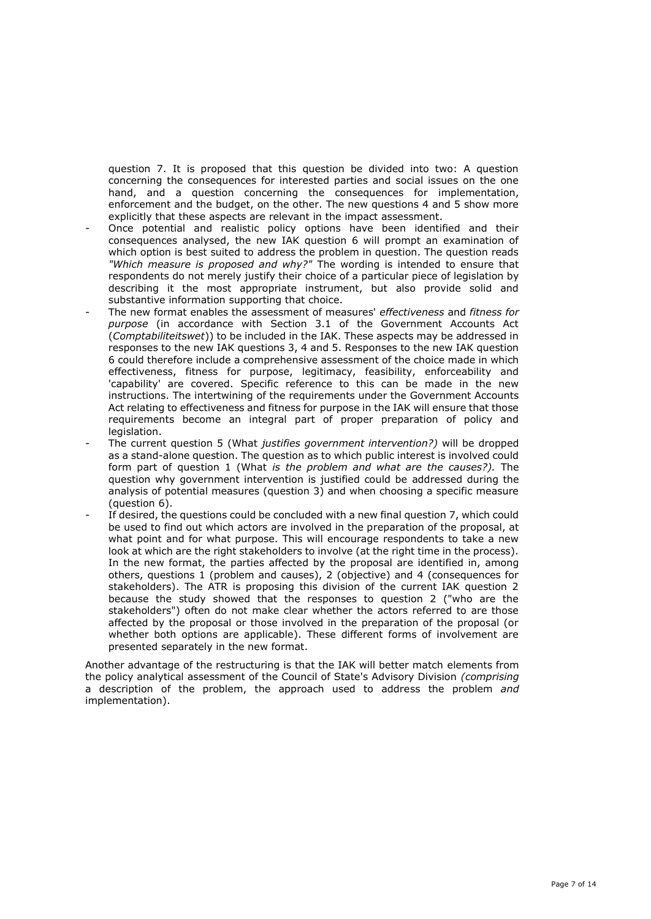question 7. It is proposed that this question be divided into two: A question concerning the consequences for interested parties and social issues on the one hand, and a question concerning the consequences for implementation, enforcement and the budget, on the other. The new questions 4 and 5 show more explicitly that these aspects are relevant in the impact assessment.

- Once potential and realistic policy options have been identified and their consequences analysed, the new IAK question 6 will prompt an examination of which option is best suited to address the problem in question. The question reads *"Which measure is proposed and why?"* The wording is intended to ensure that respondents do not merely justify their choice of a particular piece of legislation by describing it the most appropriate instrument, but also provide solid and substantive information supporting that choice.
- The new format enables the assessment of measures' *effectiveness* and *fitness for purpose* (in accordance with Section 3.1 of the Government Accounts Act (*Comptabiliteitswet*)) to be included in the IAK. These aspects may be addressed in responses to the new IAK questions 3, 4 and 5. Responses to the new IAK question 6 could therefore include a comprehensive assessment of the choice made in which effectiveness, fitness for purpose, legitimacy, feasibility, enforceability and 'capability' are covered. Specific reference to this can be made in the new instructions. The intertwining of the requirements under the Government Accounts Act relating to effectiveness and fitness for purpose in the IAK will ensure that those requirements become an integral part of proper preparation of policy and legislation.
- The current question 5 (What *justifies government intervention?)* will be dropped as a stand-alone question. The question as to which public interest is involved could form part of question 1 (What *is the problem and what are the causes?).* The question why government intervention is justified could be addressed during the analysis of potential measures (question 3) and when choosing a specific measure (question 6).
- If desired, the questions could be concluded with a new final question 7, which could be used to find out which actors are involved in the preparation of the proposal, at what point and for what purpose. This will encourage respondents to take a new look at which are the right stakeholders to involve (at the right time in the process). In the new format, the parties affected by the proposal are identified in, among others, questions 1 (problem and causes), 2 (objective) and 4 (consequences for stakeholders). The ATR is proposing this division of the current IAK question 2 because the study showed that the responses to question 2 ("who are the stakeholders") often do not make clear whether the actors referred to are those affected by the proposal or those involved in the preparation of the proposal (or whether both options are applicable). These different forms of involvement are presented separately in the new format.

Another advantage of the restructuring is that the IAK will better match elements from the policy analytical assessment of the Council of State's Advisory Division *(comprising*  a description of the problem, the approach used to address the problem *and*  implementation).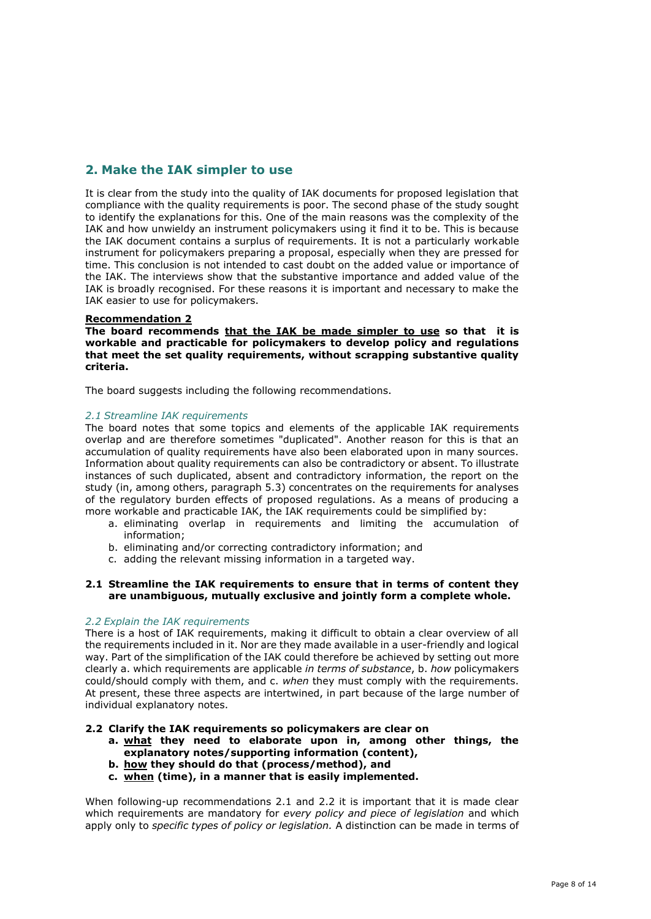## **2. Make the IAK simpler to use**

It is clear from the study into the quality of IAK documents for proposed legislation that compliance with the quality requirements is poor. The second phase of the study sought to identify the explanations for this. One of the main reasons was the complexity of the IAK and how unwieldy an instrument policymakers using it find it to be. This is because the IAK document contains a surplus of requirements. It is not a particularly workable instrument for policymakers preparing a proposal, especially when they are pressed for time. This conclusion is not intended to cast doubt on the added value or importance of the IAK. The interviews show that the substantive importance and added value of the IAK is broadly recognised. For these reasons it is important and necessary to make the IAK easier to use for policymakers.

## **Recommendation 2**

**The board recommends that the IAK be made simpler to use so that it is workable and practicable for policymakers to develop policy and regulations that meet the set quality requirements, without scrapping substantive quality criteria.**

The board suggests including the following recommendations.

## *2.1 Streamline IAK requirements*

The board notes that some topics and elements of the applicable IAK requirements overlap and are therefore sometimes "duplicated". Another reason for this is that an accumulation of quality requirements have also been elaborated upon in many sources. Information about quality requirements can also be contradictory or absent. To illustrate instances of such duplicated, absent and contradictory information, the report on the study (in, among others, paragraph 5.3) concentrates on the requirements for analyses of the regulatory burden effects of proposed regulations. As a means of producing a more workable and practicable IAK, the IAK requirements could be simplified by:

- a. eliminating overlap in requirements and limiting the accumulation of information;
- b. eliminating and/or correcting contradictory information; and
- c. adding the relevant missing information in a targeted way.

## **2.1 Streamline the IAK requirements to ensure that in terms of content they are unambiguous, mutually exclusive and jointly form a complete whole.**

#### *2.2 Explain the IAK requirements*

There is a host of IAK requirements, making it difficult to obtain a clear overview of all the requirements included in it. Nor are they made available in a user-friendly and logical way. Part of the simplification of the IAK could therefore be achieved by setting out more clearly a. which requirements are applicable *in terms of substance*, b. *how* policymakers could/should comply with them, and c. *when* they must comply with the requirements. At present, these three aspects are intertwined, in part because of the large number of individual explanatory notes.

#### **2.2 Clarify the IAK requirements so policymakers are clear on**

- **a. what they need to elaborate upon in, among other things, the explanatory notes/supporting information (content),**
- **b. how they should do that (process/method), and**
- **c. when (time), in a manner that is easily implemented.**

When following-up recommendations 2.1 and 2.2 it is important that it is made clear which requirements are mandatory for *every policy and piece of legislation* and which apply only to *specific types of policy or legislation.* A distinction can be made in terms of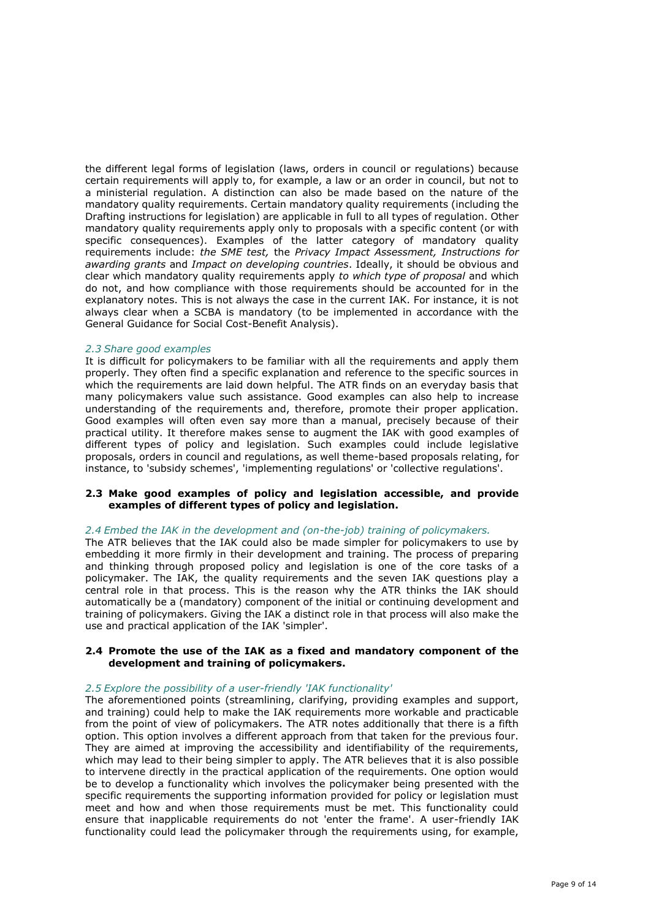the different legal forms of legislation (laws, orders in council or regulations) because certain requirements will apply to, for example, a law or an order in council, but not to a ministerial regulation. A distinction can also be made based on the nature of the mandatory quality requirements. Certain mandatory quality requirements (including the Drafting instructions for legislation) are applicable in full to all types of regulation. Other mandatory quality requirements apply only to proposals with a specific content (or with specific consequences). Examples of the latter category of mandatory quality requirements include: *the SME test,* the *Privacy Impact Assessment, Instructions for awarding grants* and *Impact on developing countries*. Ideally, it should be obvious and clear which mandatory quality requirements apply *to which type of proposal* and which do not, and how compliance with those requirements should be accounted for in the explanatory notes. This is not always the case in the current IAK. For instance, it is not always clear when a SCBA is mandatory (to be implemented in accordance with the General Guidance for Social Cost-Benefit Analysis).

#### *2.3 Share good examples*

It is difficult for policymakers to be familiar with all the requirements and apply them properly. They often find a specific explanation and reference to the specific sources in which the requirements are laid down helpful. The ATR finds on an everyday basis that many policymakers value such assistance. Good examples can also help to increase understanding of the requirements and, therefore, promote their proper application. Good examples will often even say more than a manual, precisely because of their practical utility. It therefore makes sense to augment the IAK with good examples of different types of policy and legislation. Such examples could include legislative proposals, orders in council and regulations, as well theme-based proposals relating, for instance, to 'subsidy schemes', 'implementing regulations' or 'collective regulations'.

## **2.3 Make good examples of policy and legislation accessible, and provide examples of different types of policy and legislation.**

## *2.4 Embed the IAK in the development and (on-the-job) training of policymakers.*

The ATR believes that the IAK could also be made simpler for policymakers to use by embedding it more firmly in their development and training. The process of preparing and thinking through proposed policy and legislation is one of the core tasks of a policymaker. The IAK, the quality requirements and the seven IAK questions play a central role in that process. This is the reason why the ATR thinks the IAK should automatically be a (mandatory) component of the initial or continuing development and training of policymakers. Giving the IAK a distinct role in that process will also make the use and practical application of the IAK 'simpler'.

## **2.4 Promote the use of the IAK as a fixed and mandatory component of the development and training of policymakers.**

## *2.5 Explore the possibility of a user-friendly 'IAK functionality'*

The aforementioned points (streamlining, clarifying, providing examples and support, and training) could help to make the IAK requirements more workable and practicable from the point of view of policymakers. The ATR notes additionally that there is a fifth option. This option involves a different approach from that taken for the previous four. They are aimed at improving the accessibility and identifiability of the requirements, which may lead to their being simpler to apply. The ATR believes that it is also possible to intervene directly in the practical application of the requirements. One option would be to develop a functionality which involves the policymaker being presented with the specific requirements the supporting information provided for policy or legislation must meet and how and when those requirements must be met. This functionality could ensure that inapplicable requirements do not 'enter the frame'. A user-friendly IAK functionality could lead the policymaker through the requirements using, for example,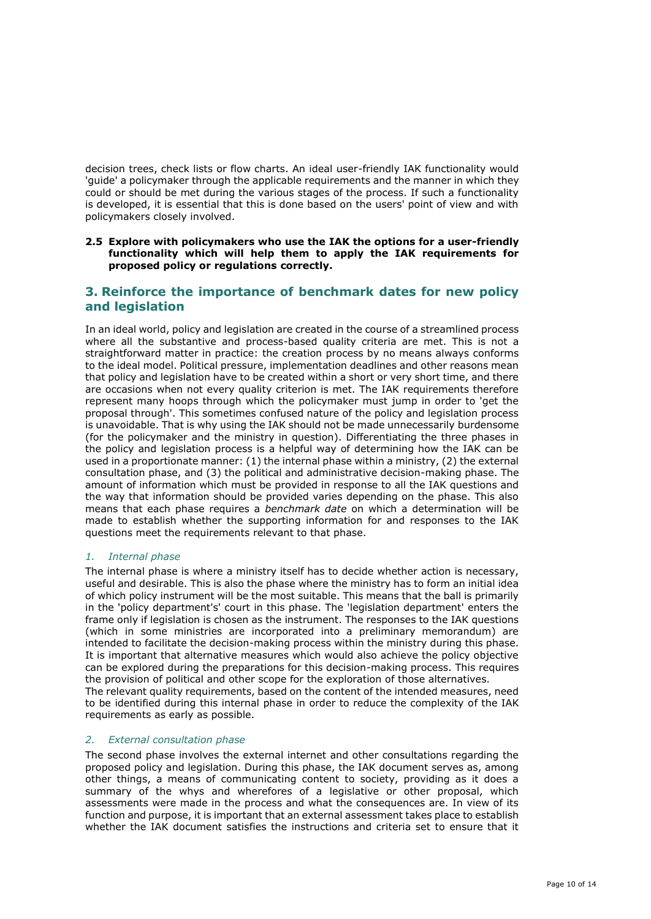decision trees, check lists or flow charts. An ideal user-friendly IAK functionality would 'guide' a policymaker through the applicable requirements and the manner in which they could or should be met during the various stages of the process. If such a functionality is developed, it is essential that this is done based on the users' point of view and with policymakers closely involved.

## **2.5 Explore with policymakers who use the IAK the options for a user-friendly functionality which will help them to apply the IAK requirements for proposed policy or regulations correctly.**

## **3. Reinforce the importance of benchmark dates for new policy and legislation**

In an ideal world, policy and legislation are created in the course of a streamlined process where all the substantive and process-based quality criteria are met. This is not a straightforward matter in practice: the creation process by no means always conforms to the ideal model. Political pressure, implementation deadlines and other reasons mean that policy and legislation have to be created within a short or very short time, and there are occasions when not every quality criterion is met. The IAK requirements therefore represent many hoops through which the policymaker must jump in order to 'get the proposal through'. This sometimes confused nature of the policy and legislation process is unavoidable. That is why using the IAK should not be made unnecessarily burdensome (for the policymaker and the ministry in question). Differentiating the three phases in the policy and legislation process is a helpful way of determining how the IAK can be used in a proportionate manner: (1) the internal phase within a ministry, (2) the external consultation phase, and (3) the political and administrative decision-making phase. The amount of information which must be provided in response to all the IAK questions and the way that information should be provided varies depending on the phase. This also means that each phase requires a *benchmark date* on which a determination will be made to establish whether the supporting information for and responses to the IAK questions meet the requirements relevant to that phase.

## *1. Internal phase*

The internal phase is where a ministry itself has to decide whether action is necessary, useful and desirable. This is also the phase where the ministry has to form an initial idea of which policy instrument will be the most suitable. This means that the ball is primarily in the 'policy department's' court in this phase. The 'legislation department' enters the frame only if legislation is chosen as the instrument. The responses to the IAK questions (which in some ministries are incorporated into a preliminary memorandum) are intended to facilitate the decision-making process within the ministry during this phase. It is important that alternative measures which would also achieve the policy objective can be explored during the preparations for this decision-making process. This requires the provision of political and other scope for the exploration of those alternatives.

The relevant quality requirements, based on the content of the intended measures, need to be identified during this internal phase in order to reduce the complexity of the IAK requirements as early as possible.

## *2. External consultation phase*

The second phase involves the external internet and other consultations regarding the proposed policy and legislation. During this phase, the IAK document serves as, among other things, a means of communicating content to society, providing as it does a summary of the whys and wherefores of a legislative or other proposal, which assessments were made in the process and what the consequences are. In view of its function and purpose, it is important that an external assessment takes place to establish whether the IAK document satisfies the instructions and criteria set to ensure that it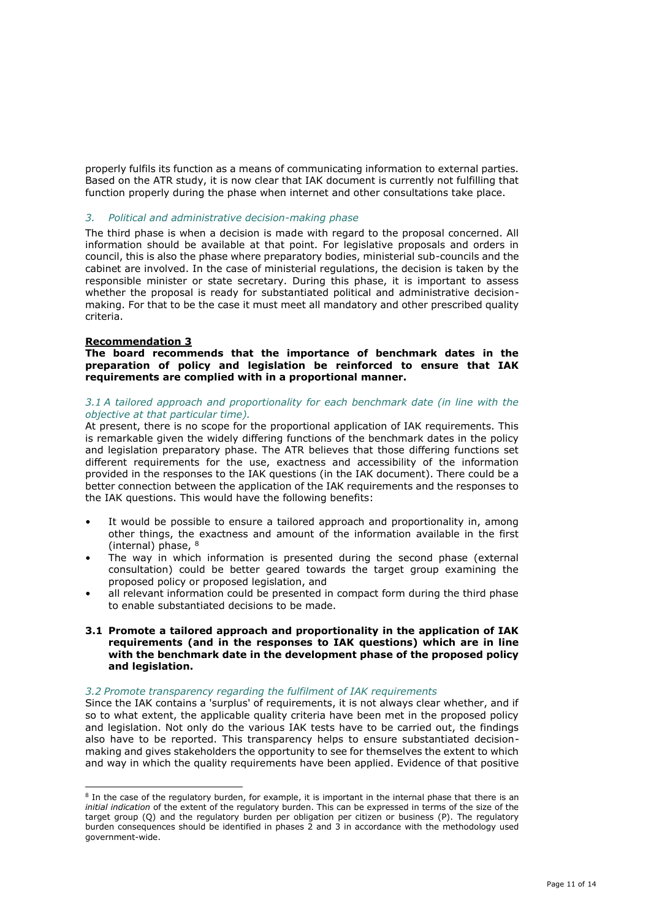properly fulfils its function as a means of communicating information to external parties. Based on the ATR study, it is now clear that IAK document is currently not fulfilling that function properly during the phase when internet and other consultations take place.

## *3. Political and administrative decision-making phase*

The third phase is when a decision is made with regard to the proposal concerned. All information should be available at that point. For legislative proposals and orders in council, this is also the phase where preparatory bodies, ministerial sub-councils and the cabinet are involved. In the case of ministerial regulations, the decision is taken by the responsible minister or state secretary. During this phase, it is important to assess whether the proposal is ready for substantiated political and administrative decisionmaking. For that to be the case it must meet all mandatory and other prescribed quality criteria.

## **Recommendation 3**

**The board recommends that the importance of benchmark dates in the preparation of policy and legislation be reinforced to ensure that IAK requirements are complied with in a proportional manner.**

### *3.1 A tailored approach and proportionality for each benchmark date (in line with the objective at that particular time).*

At present, there is no scope for the proportional application of IAK requirements. This is remarkable given the widely differing functions of the benchmark dates in the policy and legislation preparatory phase. The ATR believes that those differing functions set different requirements for the use, exactness and accessibility of the information provided in the responses to the IAK questions (in the IAK document). There could be a better connection between the application of the IAK requirements and the responses to the IAK questions. This would have the following benefits:

- It would be possible to ensure a tailored approach and proportionality in, among other things, the exactness and amount of the information available in the first (internal) phase, <sup>8</sup>
- The way in which information is presented during the second phase (external consultation) could be better geared towards the target group examining the proposed policy or proposed legislation, and
- all relevant information could be presented in compact form during the third phase to enable substantiated decisions to be made.
- **3.1 Promote a tailored approach and proportionality in the application of IAK requirements (and in the responses to IAK questions) which are in line with the benchmark date in the development phase of the proposed policy and legislation.**

#### *3.2 Promote transparency regarding the fulfilment of IAK requirements*

Since the IAK contains a 'surplus' of requirements, it is not always clear whether, and if so to what extent, the applicable quality criteria have been met in the proposed policy and legislation. Not only do the various IAK tests have to be carried out, the findings also have to be reported. This transparency helps to ensure substantiated decisionmaking and gives stakeholders the opportunity to see for themselves the extent to which and way in which the quality requirements have been applied. Evidence of that positive

<sup>&</sup>lt;sup>8</sup> In the case of the regulatory burden, for example, it is important in the internal phase that there is an *initial indication* of the extent of the regulatory burden. This can be expressed in terms of the size of the target group (Q) and the regulatory burden per obligation per citizen or business (P). The regulatory burden consequences should be identified in phases 2 and 3 in accordance with the methodology used government-wide.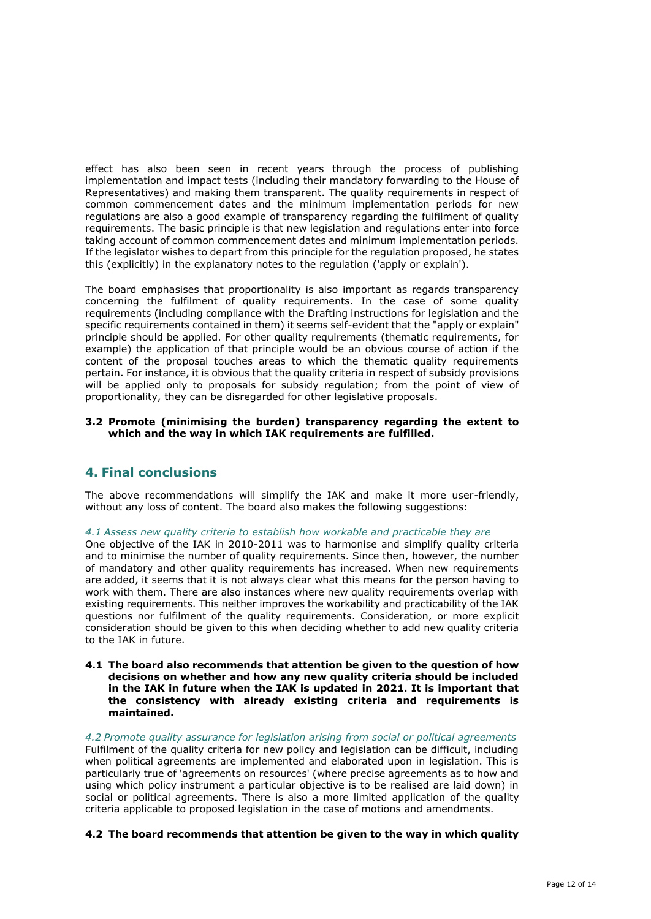effect has also been seen in recent years through the process of publishing implementation and impact tests (including their mandatory forwarding to the House of Representatives) and making them transparent. The quality requirements in respect of common commencement dates and the minimum implementation periods for new regulations are also a good example of transparency regarding the fulfilment of quality requirements. The basic principle is that new legislation and regulations enter into force taking account of common commencement dates and minimum implementation periods. If the legislator wishes to depart from this principle for the regulation proposed, he states this (explicitly) in the explanatory notes to the regulation ('apply or explain').

The board emphasises that proportionality is also important as regards transparency concerning the fulfilment of quality requirements. In the case of some quality requirements (including compliance with the Drafting instructions for legislation and the specific requirements contained in them) it seems self-evident that the "apply or explain" principle should be applied. For other quality requirements (thematic requirements, for example) the application of that principle would be an obvious course of action if the content of the proposal touches areas to which the thematic quality requirements pertain. For instance, it is obvious that the quality criteria in respect of subsidy provisions will be applied only to proposals for subsidy regulation; from the point of view of proportionality, they can be disregarded for other legislative proposals.

## **3.2 Promote (minimising the burden) transparency regarding the extent to which and the way in which IAK requirements are fulfilled.**

## **4. Final conclusions**

The above recommendations will simplify the IAK and make it more user-friendly, without any loss of content. The board also makes the following suggestions:

### *4.1 Assess new quality criteria to establish how workable and practicable they are*

One objective of the IAK in 2010-2011 was to harmonise and simplify quality criteria and to minimise the number of quality requirements. Since then, however, the number of mandatory and other quality requirements has increased. When new requirements are added, it seems that it is not always clear what this means for the person having to work with them. There are also instances where new quality requirements overlap with existing requirements. This neither improves the workability and practicability of the IAK questions nor fulfilment of the quality requirements. Consideration, or more explicit consideration should be given to this when deciding whether to add new quality criteria to the IAK in future.

**4.1 The board also recommends that attention be given to the question of how decisions on whether and how any new quality criteria should be included in the IAK in future when the IAK is updated in 2021. It is important that the consistency with already existing criteria and requirements is maintained.**

*4.2 Promote quality assurance for legislation arising from social or political agreements* Fulfilment of the quality criteria for new policy and legislation can be difficult, including when political agreements are implemented and elaborated upon in legislation. This is particularly true of 'agreements on resources' (where precise agreements as to how and using which policy instrument a particular objective is to be realised are laid down) in social or political agreements. There is also a more limited application of the quality criteria applicable to proposed legislation in the case of motions and amendments.

### **4.2 The board recommends that attention be given to the way in which quality**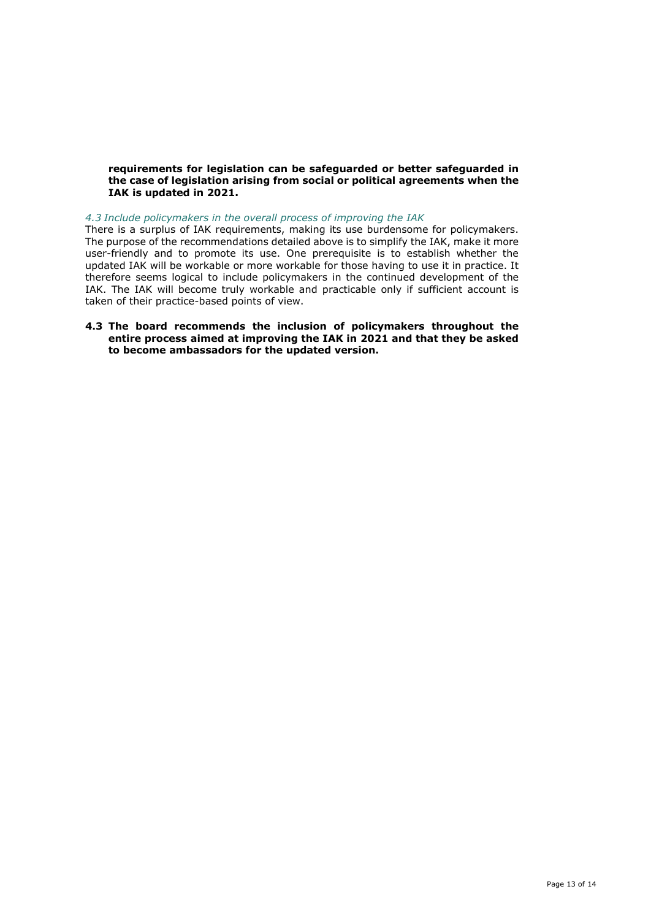## **requirements for legislation can be safeguarded or better safeguarded in the case of legislation arising from social or political agreements when the IAK is updated in 2021.**

### *4.3 Include policymakers in the overall process of improving the IAK*

There is a surplus of IAK requirements, making its use burdensome for policymakers. The purpose of the recommendations detailed above is to simplify the IAK, make it more user-friendly and to promote its use. One prerequisite is to establish whether the updated IAK will be workable or more workable for those having to use it in practice. It therefore seems logical to include policymakers in the continued development of the IAK. The IAK will become truly workable and practicable only if sufficient account is taken of their practice-based points of view.

## **4.3 The board recommends the inclusion of policymakers throughout the entire process aimed at improving the IAK in 2021 and that they be asked to become ambassadors for the updated version.**